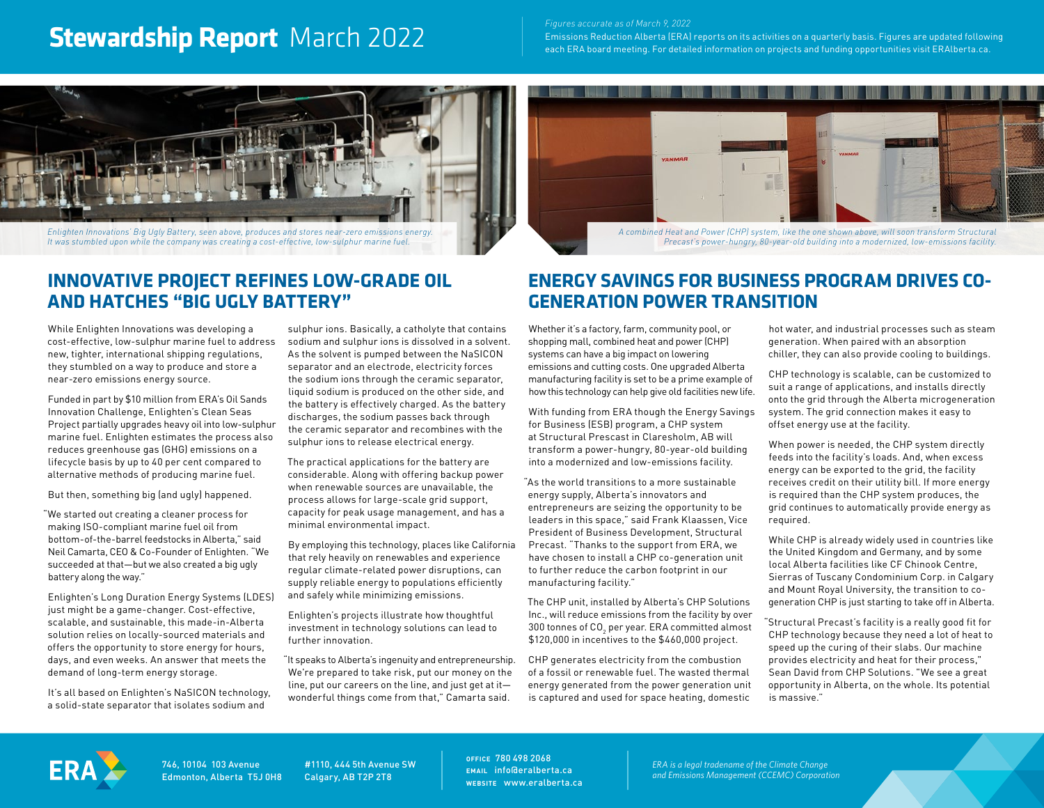# **Stewardship Report** March 2022 **Figures accurate as of March 9, 2022**

Emissions Reduction Alberta (ERA) reports on its activities on a quarterly basis. Figures are updated following each ERA board meeting. For detailed information on projects and funding opportunities visit ERAlberta.ca.



*It was stumbled upon while the company was creating a cost-effective, low-sulphur marine fuel.*



*A combined Heat and Power (CHP) system, like the one shown above, will soon transform Structural Precast's power-hungry, 80-year-old building into a modernized, low-emissions facility.*

## **INNOVATIVE PROJECT REFINES LOW-GRADE OIL AND HATCHES "BIG UGLY BATTERY"**

While Enlighten Innovations was developing a cost-effective, low-sulphur marine fuel to address new, tighter, international shipping regulations, they stumbled on a way to produce and store a near-zero emissions energy source.

Funded in part by \$10 million from ERA's Oil Sands Innovation Challenge, Enlighten's Clean Seas Project partially upgrades heavy oil into low-sulphur marine fuel. Enlighten estimates the process also reduces greenhouse gas (GHG) emissions on a lifecycle basis by up to 40 per cent compared to alternative methods of producing marine fuel.

But then, something big (and ugly) happened.

"We started out creating a cleaner process for making ISO-compliant marine fuel oil from bottom-of-the-barrel feedstocks in Alberta," said Neil Camarta, CEO & Co-Founder of Enlighten. "We succeeded at that—but we also created a big ugly battery along the way."

Enlighten's Long Duration Energy Systems (LDES) just might be a game-changer. Cost-effective, scalable, and sustainable, this made-in-Alberta solution relies on locally-sourced materials and offers the opportunity to store energy for hours, days, and even weeks. An answer that meets the demand of long-term energy storage.

It's all based on Enlighten's NaSICON technology, a solid-state separator that isolates sodium and

sulphur ions. Basically, a catholyte that contains sodium and sulphur ions is dissolved in a solvent. As the solvent is pumped between the NaSICON separator and an electrode, electricity forces the sodium ions through the ceramic separator, liquid sodium is produced on the other side, and the battery is effectively charged. As the battery discharges, the sodium passes back through the ceramic separator and recombines with the sulphur ions to release electrical energy.

The practical applications for the battery are considerable. Along with offering backup power when renewable sources are unavailable, the process allows for large-scale grid support, capacity for peak usage management, and has a minimal environmental impact.

By employing this technology, places like California that rely heavily on renewables and experience regular climate-related power disruptions, can supply reliable energy to populations efficiently and safely while minimizing emissions.

Enlighten's projects illustrate how thoughtful investment in technology solutions can lead to further innovation.

"It speaks to Alberta's ingenuity and entrepreneurship. We're prepared to take risk, put our money on the line, put our careers on the line, and just get at it wonderful things come from that," Camarta said.

## **ENERGY SAVINGS FOR BUSINESS PROGRAM DRIVES CO-GENERATION POWER TRANSITION**

Whether it's a factory, farm, community pool, or shopping mall, combined heat and power (CHP) systems can have a big impact on lowering emissions and cutting costs. One upgraded Alberta manufacturing facility is set to be a prime example of how this technology can help give old facilities new life.

With funding from ERA though the Energy Savings for Business (ESB) program, a CHP system at Structural Prescast in Claresholm, AB will transform a power-hungry, 80-year-old building into a modernized and low-emissions facility.

"As the world transitions to a more sustainable energy supply, Alberta's innovators and entrepreneurs are seizing the opportunity to be leaders in this space," said Frank Klaassen, Vice President of Business Development, Structural Precast. "Thanks to the support from ERA, we have chosen to install a CHP co-generation unit to further reduce the carbon footprint in our manufacturing facility."

The CHP unit, installed by Alberta's CHP Solutions Inc., will reduce emissions from the facility by over 300 tonnes of CO $_{\rm 2}$  per year. ERA committed almost \$120,000 in incentives to the \$460,000 project.

CHP generates electricity from the combustion of a fossil or renewable fuel. The wasted thermal energy generated from the power generation unit is captured and used for space heating, domestic

hot water, and industrial processes such as steam generation. When paired with an absorption chiller, they can also provide cooling to buildings.

CHP technology is scalable, can be customized to suit a range of applications, and installs directly onto the grid through the Alberta microgeneration system. The grid connection makes it easy to offset energy use at the facility.

When power is needed, the CHP system directly feeds into the facility's loads. And, when excess energy can be exported to the grid, the facility receives credit on their utility bill. If more energy is required than the CHP system produces, the grid continues to automatically provide energy as required.

While CHP is already widely used in countries like the United Kingdom and Germany, and by some local Alberta facilities like CF Chinook Centre, Sierras of Tuscany Condominium Corp. in Calgary and Mount Royal University, the transition to cogeneration CHP is just starting to take off in Alberta.

"Structural Precast's facility is a really good fit for CHP technology because they need a lot of heat to speed up the curing of their slabs. Our machine provides electricity and heat for their process," Sean David from CHP Solutions. "We see a great opportunity in Alberta, on the whole. Its potential is massive."



746, 10104 103 Avenue Edmonton, Alberta T5J 0H8

#1110, 444 5th Avenue SW Calgary, AB T2P 2T8

**OFFICE** 780 498 2068 **EMAIL** info@eralberta.ca **WEBSITE** www.eralberta.ca

*ERA is a legal tradename of the Climate Change and Emissions Management (CCEMC) Corporation*